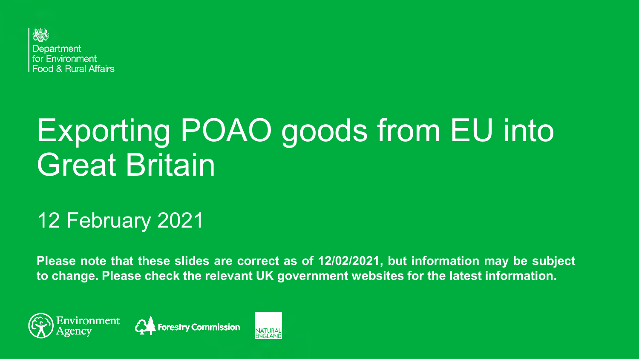

# Exporting POAO goods from EU into Great Britain

### 12 February 2021

**Please note that these slides are correct as of 12/02/2021, but information may be subject to change. Please check the relevant UK government websites for the latest information.**



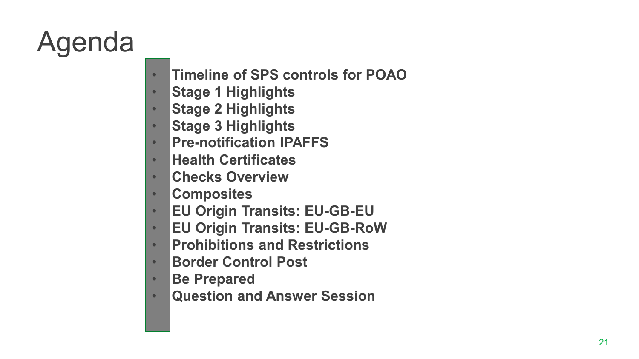# Agenda

- **Timeline of SPS controls for POAO**
- **Stage 1 Highlights**
- **Stage 2 Highlights**
- **Stage 3 Highlights**
- **Pre-notification IPAFFS**
- **Health Certificates**
- **Checks Overview**
- **Composites**
- **EU Origin Transits: EU-GB-EU**
- **EU Origin Transits: EU-GB-RoW**
- **Prohibitions and Restrictions**
- **Border Control Post**
- **Be Prepared**
- **Question and Answer Session**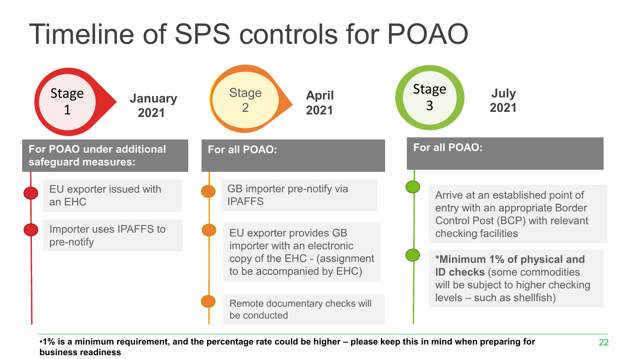## Timeline of SPS controls for POAO

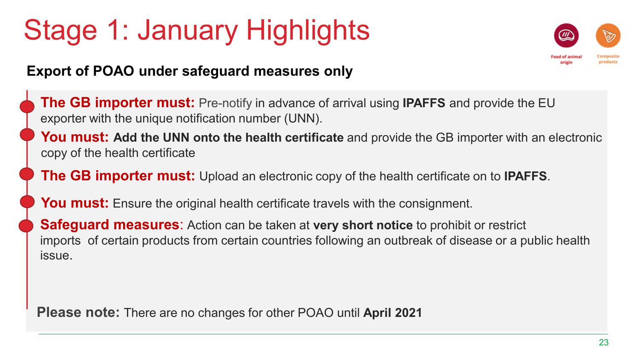# Stage 1: January Highlights



#### **Export of POAO under safeguard measures only**



**Please note:** There are no changes for other POAO until **April 2021**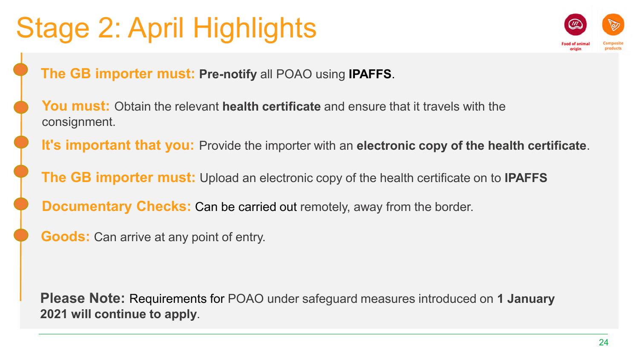# Stage 2: April Highlights



**The GB importer must: Pre-notify** all POAO using **IPAFFS**.

**You must:** Obtain the relevant **health certificate** and ensure that it travels with the consignment.

**It's important that you:** Provide the importer with an **electronic copy of the health certificate**.

**The GB importer must:** Upload an electronic copy of the health certificate on to **IPAFFS**

**Documentary Checks:** Can be carried out remotely, away from the border.

**Goods:** Can arrive at any point of entry.

**Please Note:** Requirements for POAO under safeguard measures introduced on **1 January 2021 will continue to apply**.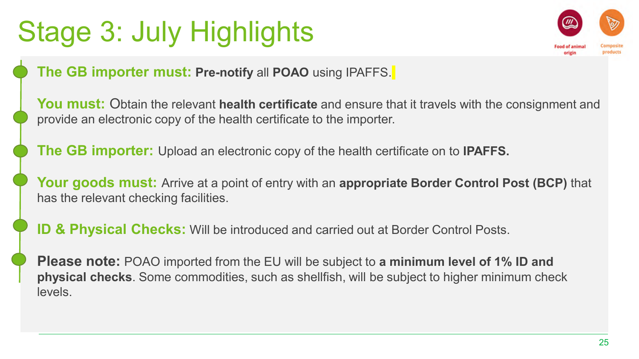# Stage 3: July Highlights



**The GB importer must: Pre-notify** all **POAO** using IPAFFS.

**You must:** Obtain the relevant **health certificate** and ensure that it travels with the consignment and provide an electronic copy of the health certificate to the importer.

**The GB importer:** Upload an electronic copy of the health certificate on to **IPAFFS.**

**Your goods must:** Arrive at a point of entry with an **appropriate Border Control Post (BCP)** that has the relevant checking facilities.

**ID & Physical Checks:** Will be introduced and carried out at Border Control Posts.

**Please note:** POAO imported from the EU will be subject to **a minimum level of 1% ID and physical checks**. Some commodities, such as shellfish, will be subject to higher minimum check levels.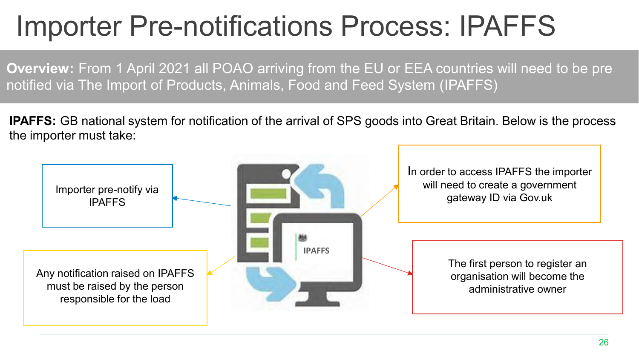## Importer Pre-notifications Process: IPAFFS

**Overview:** From 1 April 2021 all POAO arriving from the EU or EEA countries will need to be pre notified via The Import of Products, Animals, Food and Feed System (IPAFFS)

**IPAFFS:** GB national system for notification of the arrival of SPS goods into Great Britain. Below is the process the importer must take:

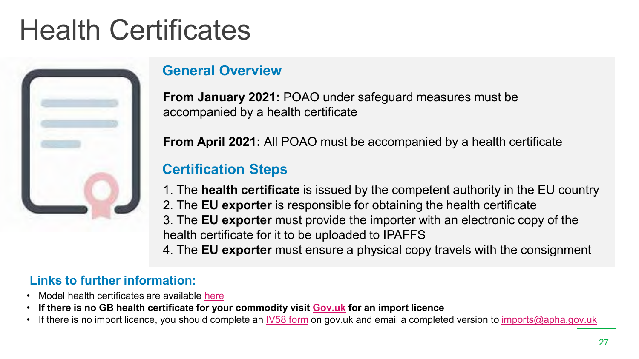### Health Certificates



#### **General Overview**

**From January 2021:** POAO under safeguard measures must be accompanied by a health certificate

**From April 2021:** All POAO must be accompanied by a health certificate

#### **Certification Steps**

1. The **health certificate** is issued by the competent authority in the EU country 2. The **EU exporter** is responsible for obtaining the health certificate 3. The **EU exporter** must provide the importer with an electronic copy of the health certificate for it to be uploaded to IPAFFS 4. The **EU exporter** must ensure a physical copy travels with the consignment

#### **Links to further information:**

- Model health certificates are available [here](https://www.gov.uk/government/collections/health-certificates-for-animal-and-animal-product-imports-to-great-britain)
- **If there is no GB health certificate for your commodity visit [Gov.uk](https://www.gov.uk/guidance/importing-live-animals-or-animal-products-from-non-eu-countries-general-licences-and-authorisations) for an import licence**
- If there is no import licence, you should complete an [IV58 form](https://www.gov.uk/government/publications/animal-products-and-pathogens-application-for-import-licence) on gov.uk and email a completed version to [imports@apha.gov.uk](mailto:imports@apha.gov.uk)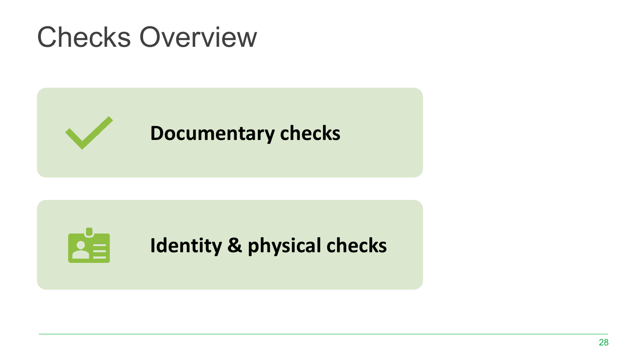### Checks Overview

### **Documentary checks**

### **Identity & physical checks**  $\equiv$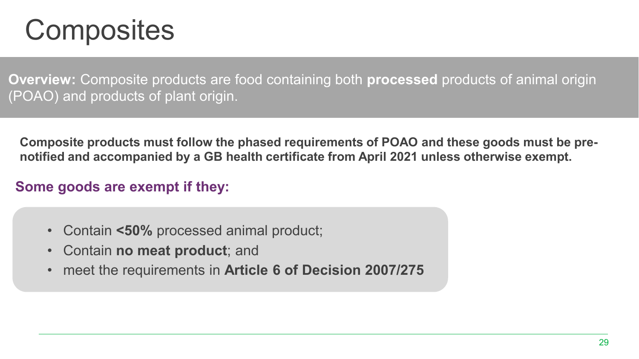### **Composites**

**Overview:** Composite products are food containing both **processed** products of animal origin (POAO) and products of plant origin.

**Composite products must follow the phased requirements of POAO and these goods must be prenotified and accompanied by a GB health certificate from April 2021 unless otherwise exempt.**

#### **Some goods are exempt if they:**

- Contain **<50%** processed animal product;
- Contain **no meat product**; and
- meet the requirements in **Article 6 of Decision 2007/275**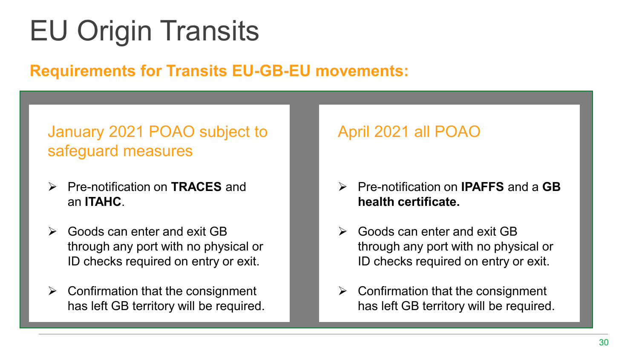# EU Origin Transits

### **Requirements for Transits EU-GB-EU movements:**

### January 2021 POAO subject to safeguard measures

- Pre-notification on **TRACES** and an **ITAHC**.
- $\triangleright$  Goods can enter and exit GB through any port with no physical or ID checks required on entry or exit.
- $\triangleright$  Confirmation that the consignment has left GB territory will be required.

### April 2021 all POAO

- Pre-notification on **IPAFFS** and a **GB health certificate.**
- Goods can enter and exit GB through any port with no physical or ID checks required on entry or exit.
- $\triangleright$  Confirmation that the consignment has left GB territory will be required.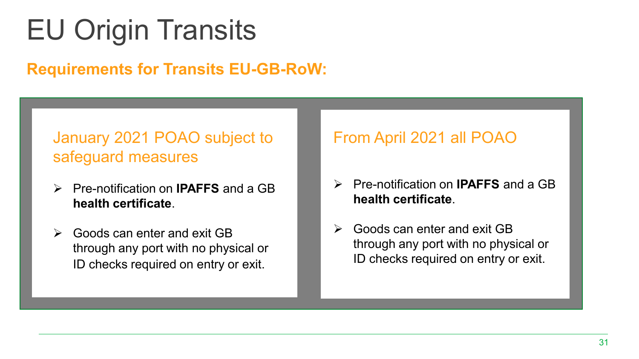# EU Origin Transits

### **Requirements for Transits EU-GB-RoW:**

### January 2021 POAO subject to safeguard measures

- Pre-notification on **IPAFFS** and a GB **health certificate**.
- $\triangleright$  Goods can enter and exit GB through any port with no physical or ID checks required on entry or exit.

### From April 2021 all POAO

- Pre-notification on **IPAFFS** and a GB **health certificate**.
- $\triangleright$  Goods can enter and exit GB through any port with no physical or ID checks required on entry or exit.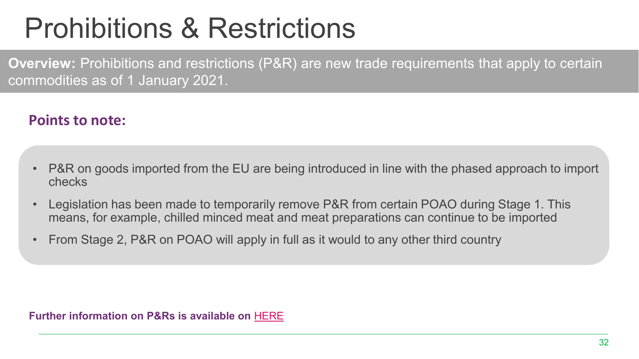## Prohibitions & Restrictions

**Overview:** Prohibitions and restrictions (P&R) are new trade requirements that apply to certain commodities as of 1 January 2021.

#### **Points to note:**

- P&R on goods imported from the EU are being introduced in line with the phased approach to import checks
- Legislation has been made to temporarily remove P&R from certain POAO during Stage 1. This means, for example, chilled minced meat and meat preparations can continue to be imported
- From Stage 2, P&R on POAO will apply in full as it would to any other third country

**Further information on P&Rs is available on** [HERE](https://www.gov.uk/guidance/export-food-and-agricultural-products-special-rules#restricted-and-prohibited-goods)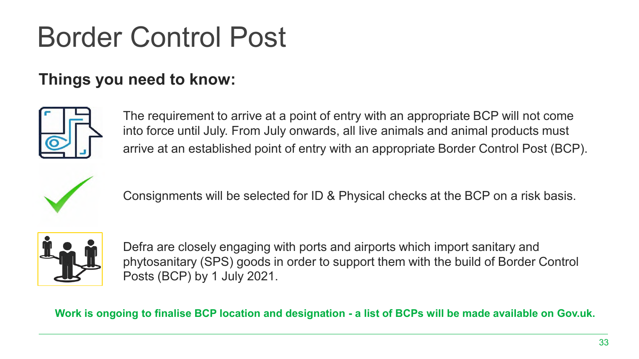# Border Control Post

### **Things you need to know:**



The requirement to arrive at a point of entry with an appropriate BCP will not come into force until July. From July onwards, all live animals and animal products must arrive at an established point of entry with an appropriate Border Control Post (BCP).



Consignments will be selected for ID & Physical checks at the BCP on a risk basis.



Defra are closely engaging with ports and airports which import sanitary and phytosanitary (SPS) goods in order to support them with the build of Border Control Posts (BCP) by 1 July 2021.

**Work is ongoing to finalise BCP location and designation - a list of BCPs will be made available on Gov.uk.**